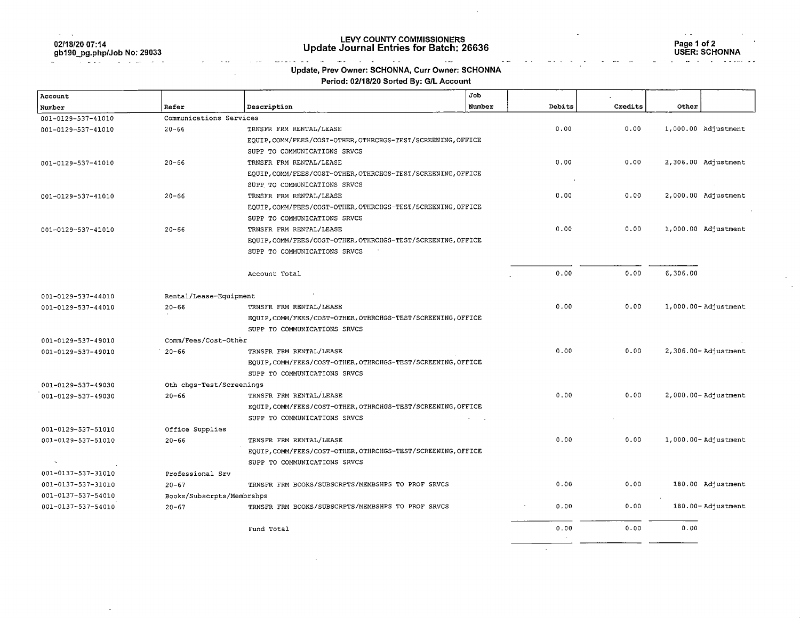| 02/18/20 07:14             |  |
|----------------------------|--|
| gb190_pg.php/Job No: 29033 |  |

**Contract Contract** 

÷

# LEVY COUNTY COMMISSIONERS Update Journal Entries for Batch: 26636 Page 1 of 2

Page 1 of 2<br>USER: SCHONNA

 $\sim$   $\sim$ 

#### $\mathcal{L}_{\text{max}}$  and  $\mathcal{L}_{\text{max}}$  $\sim 10$  $\frac{1}{2}$ Update, Prev Owner: SCHONNA, Curr Owner: SCHONNA

 $\sim$ 

### Period: 02/18/20 Sorted By: G/L Account

| Account            |                           |                                                              | Job    |        |         |          |                                |
|--------------------|---------------------------|--------------------------------------------------------------|--------|--------|---------|----------|--------------------------------|
| Number             | Refer                     | Description                                                  | Number | Debits | Credits | Other    |                                |
| 001-0129-537-41010 | Communications Services   |                                                              |        |        |         |          |                                |
| 001-0129-537-41010 | $20 - 66$                 | TRNSFR FRM RENTAL/LEASE                                      |        | 0.00   | 0.00    |          | 1,000.00 Adjustment            |
|                    |                           | EQUIP, COMM/FEES/COST-OTHER, OTHRCHGS-TEST/SCREENING, OFFICE |        |        |         |          |                                |
|                    |                           | SUPP TO COMMUNICATIONS SRVCS                                 |        |        |         |          |                                |
| 001-0129-537-41010 | $20 - 66$                 | TRNSFR FRM RENTAL/LEASE                                      |        | 0.00   | 0.00    |          | 2,306.00 Adjustment            |
|                    |                           | EQUIP, COMM/FEES/COST-OTHER, OTHRCHGS-TEST/SCREENING, OFFICE |        |        |         |          |                                |
|                    |                           | SUPP TO COMMUNICATIONS SRVCS                                 |        |        |         |          |                                |
| 001-0129-537-41010 | $20 - 66$                 | TRNSFR FRM RENTAL/LEASE                                      |        | 0.00   | 0.00    |          | 2,000.00 Adjustment            |
|                    |                           | EQUIP, COMM/FEES/COST-OTHER, OTHRCHGS-TEST/SCREENING, OFFICE |        |        |         |          |                                |
|                    |                           | SUPP TO COMMUNICATIONS SRVCS                                 |        |        |         |          |                                |
| 001-0129-537-41010 | $20 - 66$                 | TRNSFR FRM RENTAL/LEASE                                      |        | 0.00   | 0.00    |          | 1,000.00 Adjustment            |
|                    |                           | EQUIP, COMM/FEES/COST-OTHER, OTHRCHGS-TEST/SCREENING, OFFICE |        |        |         |          |                                |
|                    |                           | SUPP TO COMMUNICATIONS SRVCS                                 |        |        |         |          |                                |
|                    |                           | Account Total                                                |        | 0.00   | 0.00    | 6,306.00 |                                |
| 001-0129-537-44010 | Rental/Lease-Equipment    |                                                              |        |        |         |          |                                |
| 001-0129-537-44010 | $20 - 66$                 | TRNSFR FRM RENTAL/LEASE                                      |        | 0.00   | 0.00    |          | $1,000.00 - \text{Adjustment}$ |
|                    |                           | EQUIP, COMM/FEES/COST-OTHER, OTHRCHGS-TEST/SCREENING, OFFICE |        |        |         |          |                                |
|                    |                           | SUPP TO COMMUNICATIONS SRVCS                                 |        |        |         |          |                                |
| 001-0129-537-49010 | Comm/Fees/Cost-Other      |                                                              |        |        |         |          |                                |
| 001-0129-537-49010 | $20 - 66$                 | TRNSFR FRM RENTAL/LEASE                                      |        | 0.00   | 0.00    |          | 2,306.00- Adjustment           |
|                    |                           | EQUIP, COMM/FEES/COST-OTHER, OTHRCHGS-TEST/SCREENING, OFFICE |        |        |         |          |                                |
|                    |                           | SUPP TO COMMUNICATIONS SRVCS                                 |        |        |         |          |                                |
| 001-0129-537-49030 | Oth chgs-Test/Screenings  |                                                              |        |        |         |          |                                |
| 001-0129-537-49030 | $20 - 66$                 | TRNSFR FRM RENTAL/LEASE                                      |        | 0.00   | 0.00    |          | $2,000.00 -$ Adjustment        |
|                    |                           | EQUIP, COMM/FEES/COST-OTHER, OTHRCHGS-TEST/SCREENING, OFFICE |        |        |         |          |                                |
|                    |                           | SUPP TO COMMUNICATIONS SRVCS                                 |        |        |         |          |                                |
| 001-0129-537-51010 | Office Supplies           |                                                              |        |        |         |          |                                |
| 001-0129-537-51010 | $20 - 66$                 | TRNSFR FRM RENTAL/LEASE                                      |        | 0.00   | 0.00    |          | $1,000.00 -$ Adjustment        |
|                    |                           | EQUIP, COMM/FEES/COST-OTHER, OTHRCHGS-TEST/SCREENING, OFFICE |        |        |         |          |                                |
|                    |                           | SUPP TO COMMUNICATIONS SRVCS                                 |        |        |         |          |                                |
| 001-0137-537-31010 | Professional Srv          |                                                              |        |        |         |          |                                |
| 001-0137-537-31010 | $20 - 67$                 | TRNSFR FRM BOOKS/SUBSCRPTS/MEMBSHPS TO PROF SRVCS            |        | 0.00   | 0.00    |          | 180.00 Adjustment              |
| 001-0137-537-54010 | Books/Subscrpts/Membrshps |                                                              |        |        |         |          |                                |
| 001-0137-537-54010 | $20 - 67$                 | TRNSFR FRM BOOKS/SUBSCRPTS/MEMBSHPS TO PROF SRVCS            |        | 0.00   | 0.00    |          | 180.00-Adjustment              |
|                    |                           |                                                              |        |        |         |          |                                |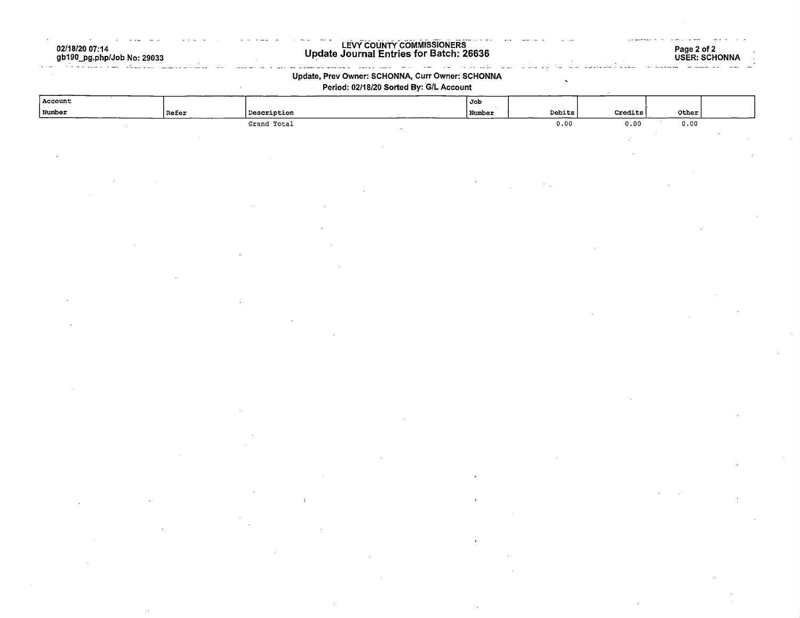02/18/20 07:14 gb190\_pg.php/Job No: 29033

#### LEVY COUNTY COMMISSIONERS Update Journal Entries for Batch: 26636

 $\sim$   $\sim$ 

المقالص العادا والداري التعريبات

### Page 2 of 2 USER: SCHONNA

### Update, Prev Owner: SCHONNA, Curr Owner: SCHONNA Period: 02/18/20 Sorted By: G/L Account

and me and an experience of the contract of the contract of the contract of the contract of the contract of the contract of the contract of the contract of the contract of the contract of the contract of the contract of th

| Account |               |             | $\sqrt{J_{\rm ob}}$ |                            |                           |                  |  |
|---------|---------------|-------------|---------------------|----------------------------|---------------------------|------------------|--|
| Number  | $\vert$ Refer | Description | Number              | ${\hbox{\texttt{Debits}}}$ | $\mbox{{\sc Credits}}$    | $\mathtt{Other}$ |  |
|         |               | Grand Total |                     | 0.00                       | 0.00                      | 0.00             |  |
|         |               |             |                     |                            | $\mathbb{Z}^{\mathbb{Z}}$ |                  |  |
|         |               |             |                     |                            |                           |                  |  |
|         |               |             |                     |                            |                           |                  |  |
|         |               |             |                     |                            |                           |                  |  |
|         |               |             |                     |                            |                           |                  |  |
|         |               |             |                     |                            |                           |                  |  |
|         |               |             |                     |                            |                           |                  |  |
|         |               |             |                     |                            |                           |                  |  |
|         |               |             |                     |                            |                           |                  |  |
|         |               |             |                     |                            |                           |                  |  |
|         |               |             |                     |                            |                           |                  |  |
|         |               |             |                     |                            |                           |                  |  |
|         |               |             |                     |                            |                           |                  |  |
|         |               |             |                     |                            |                           |                  |  |
|         |               |             |                     |                            |                           |                  |  |
|         |               |             |                     |                            |                           |                  |  |
|         |               |             |                     |                            |                           |                  |  |
|         |               |             |                     |                            |                           |                  |  |
|         |               |             |                     |                            |                           |                  |  |
|         |               |             |                     |                            |                           |                  |  |
|         |               |             |                     |                            |                           |                  |  |
|         |               |             |                     |                            |                           |                  |  |
|         |               |             |                     |                            |                           |                  |  |
|         |               |             |                     |                            |                           |                  |  |
|         |               |             |                     |                            |                           |                  |  |
|         |               |             |                     |                            |                           |                  |  |
|         |               |             |                     |                            |                           |                  |  |
|         |               |             |                     |                            |                           |                  |  |
|         |               |             |                     |                            |                           |                  |  |
|         |               |             |                     |                            |                           |                  |  |
|         |               |             |                     |                            |                           |                  |  |
|         |               |             |                     |                            |                           |                  |  |
|         |               |             |                     |                            |                           |                  |  |
|         |               |             |                     |                            |                           |                  |  |
|         |               |             |                     |                            |                           |                  |  |
|         |               |             |                     |                            |                           |                  |  |
|         |               |             |                     |                            |                           |                  |  |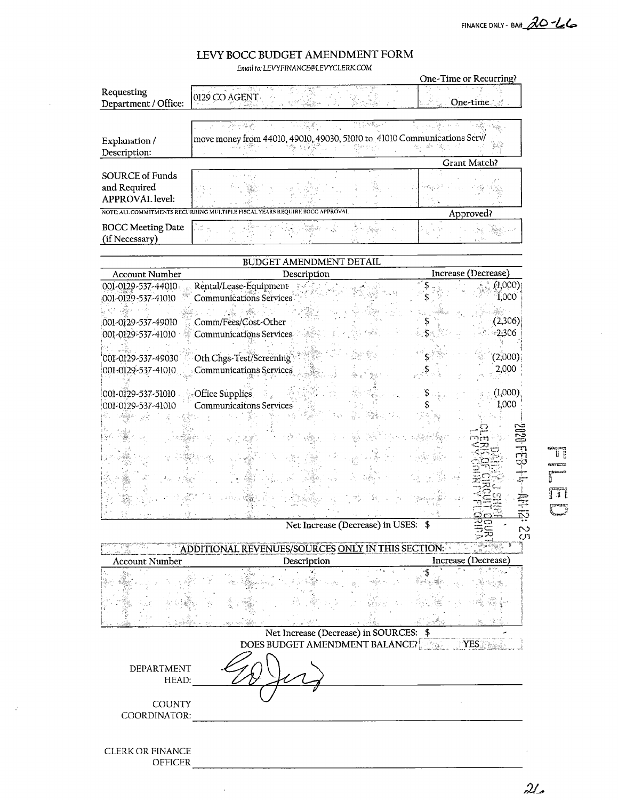FINANCE ONLY - BA# 20-66

# LEVY BOCC BUDGET AMENDMENT FORM

Email to. LEVYFINANCE@LEVYCLERK.COM

|                                                                  |                                                                                         | One-Time or Recurring? |
|------------------------------------------------------------------|-----------------------------------------------------------------------------------------|------------------------|
| Requesting<br>Department / Office:                               | 0129 CO AGENT                                                                           | One-time.              |
|                                                                  | 74 William<br>그 그 집 없습니                                                                 |                        |
| Explanation /<br>Description:                                    | move money from 44010, 49010, 49030, 51010 to 41010 Communications Serv/<br>총 포글 1세 - H |                        |
|                                                                  |                                                                                         | <b>Grant Match?</b>    |
| <b>SOURCE of Funds</b><br>and Required<br><b>APPROVAL</b> level: |                                                                                         |                        |
|                                                                  | NOTE: ALL COMMITMENTS RECURRING MULTIPLE FISCAL YEARS REQUIRE BOCC APPROVAL             | Approved?              |
| <b>BOCC Meeting Date</b><br>(if Necessary)                       |                                                                                         |                        |

| Rental/Lease-Equipment<br>(1,000)<br>001-0129-537-44010<br>1,000<br><b>Communications Services</b><br>(2,306)<br>Comm/Fees/Cost-Other<br>-2,306<br>001-0129-537-41010<br><b>Communications Services</b><br>(2,000)<br>Oth Chgs-Test/Screening<br>2,000<br>Communications Services<br>(1,000)<br>Office Supplies<br>1,000<br>Communicaitons Services<br>Ņ<br>Net Increase (Decrease) in USES:<br>$\sim$<br>CJ1<br>ADDITIONAL REVENUES/SOURCES ONLY IN THIS SECTION:<br>Increase (Decrease)<br>Description<br><b>Account Number</b><br>Net Increase (Decrease) in SOURCES: \$<br><b>DOES BUDGET AMENDMENT BALANCE?</b><br>YES<br>DEPARTMENT<br>HEAD: | <b>Account Number</b> | BUDGET AMENDMENT DETAIL<br>Description | Increase (Decrease) |
|----------------------------------------------------------------------------------------------------------------------------------------------------------------------------------------------------------------------------------------------------------------------------------------------------------------------------------------------------------------------------------------------------------------------------------------------------------------------------------------------------------------------------------------------------------------------------------------------------------------------------------------------------|-----------------------|----------------------------------------|---------------------|
|                                                                                                                                                                                                                                                                                                                                                                                                                                                                                                                                                                                                                                                    |                       |                                        |                     |
|                                                                                                                                                                                                                                                                                                                                                                                                                                                                                                                                                                                                                                                    | 001-0129-537-41010    |                                        |                     |
|                                                                                                                                                                                                                                                                                                                                                                                                                                                                                                                                                                                                                                                    |                       |                                        |                     |
|                                                                                                                                                                                                                                                                                                                                                                                                                                                                                                                                                                                                                                                    | 001-0129-537-49010    |                                        |                     |
|                                                                                                                                                                                                                                                                                                                                                                                                                                                                                                                                                                                                                                                    |                       |                                        |                     |
|                                                                                                                                                                                                                                                                                                                                                                                                                                                                                                                                                                                                                                                    |                       |                                        |                     |
|                                                                                                                                                                                                                                                                                                                                                                                                                                                                                                                                                                                                                                                    | 001-0129-537-49030    |                                        |                     |
|                                                                                                                                                                                                                                                                                                                                                                                                                                                                                                                                                                                                                                                    | 001-0129-537-41010    |                                        |                     |
|                                                                                                                                                                                                                                                                                                                                                                                                                                                                                                                                                                                                                                                    |                       |                                        |                     |
|                                                                                                                                                                                                                                                                                                                                                                                                                                                                                                                                                                                                                                                    | 001-0129-537-51010    |                                        |                     |
|                                                                                                                                                                                                                                                                                                                                                                                                                                                                                                                                                                                                                                                    | 001-0129-537-41010    |                                        |                     |
|                                                                                                                                                                                                                                                                                                                                                                                                                                                                                                                                                                                                                                                    |                       |                                        |                     |
|                                                                                                                                                                                                                                                                                                                                                                                                                                                                                                                                                                                                                                                    |                       |                                        |                     |
|                                                                                                                                                                                                                                                                                                                                                                                                                                                                                                                                                                                                                                                    |                       |                                        |                     |
|                                                                                                                                                                                                                                                                                                                                                                                                                                                                                                                                                                                                                                                    |                       |                                        |                     |
|                                                                                                                                                                                                                                                                                                                                                                                                                                                                                                                                                                                                                                                    |                       |                                        |                     |
|                                                                                                                                                                                                                                                                                                                                                                                                                                                                                                                                                                                                                                                    |                       |                                        |                     |
|                                                                                                                                                                                                                                                                                                                                                                                                                                                                                                                                                                                                                                                    |                       |                                        |                     |
|                                                                                                                                                                                                                                                                                                                                                                                                                                                                                                                                                                                                                                                    |                       |                                        |                     |
|                                                                                                                                                                                                                                                                                                                                                                                                                                                                                                                                                                                                                                                    |                       |                                        |                     |
|                                                                                                                                                                                                                                                                                                                                                                                                                                                                                                                                                                                                                                                    |                       |                                        |                     |
|                                                                                                                                                                                                                                                                                                                                                                                                                                                                                                                                                                                                                                                    |                       |                                        |                     |
|                                                                                                                                                                                                                                                                                                                                                                                                                                                                                                                                                                                                                                                    |                       |                                        |                     |
|                                                                                                                                                                                                                                                                                                                                                                                                                                                                                                                                                                                                                                                    |                       |                                        |                     |
|                                                                                                                                                                                                                                                                                                                                                                                                                                                                                                                                                                                                                                                    |                       |                                        |                     |
|                                                                                                                                                                                                                                                                                                                                                                                                                                                                                                                                                                                                                                                    |                       |                                        |                     |
|                                                                                                                                                                                                                                                                                                                                                                                                                                                                                                                                                                                                                                                    |                       |                                        |                     |
|                                                                                                                                                                                                                                                                                                                                                                                                                                                                                                                                                                                                                                                    |                       |                                        |                     |
|                                                                                                                                                                                                                                                                                                                                                                                                                                                                                                                                                                                                                                                    |                       |                                        |                     |
|                                                                                                                                                                                                                                                                                                                                                                                                                                                                                                                                                                                                                                                    |                       |                                        |                     |
|                                                                                                                                                                                                                                                                                                                                                                                                                                                                                                                                                                                                                                                    |                       |                                        |                     |
|                                                                                                                                                                                                                                                                                                                                                                                                                                                                                                                                                                                                                                                    |                       |                                        |                     |
|                                                                                                                                                                                                                                                                                                                                                                                                                                                                                                                                                                                                                                                    |                       |                                        |                     |

COUNTY

OFFICER

 $\bar{z}$ 

COORDINATOR:

CLERK OR FINANCE

 $\mathcal{A}$ 

T **GATES**  $\mathbb{F}$  $\mathbb{T}$ 

 $\mathcal{U}_{\sigma}$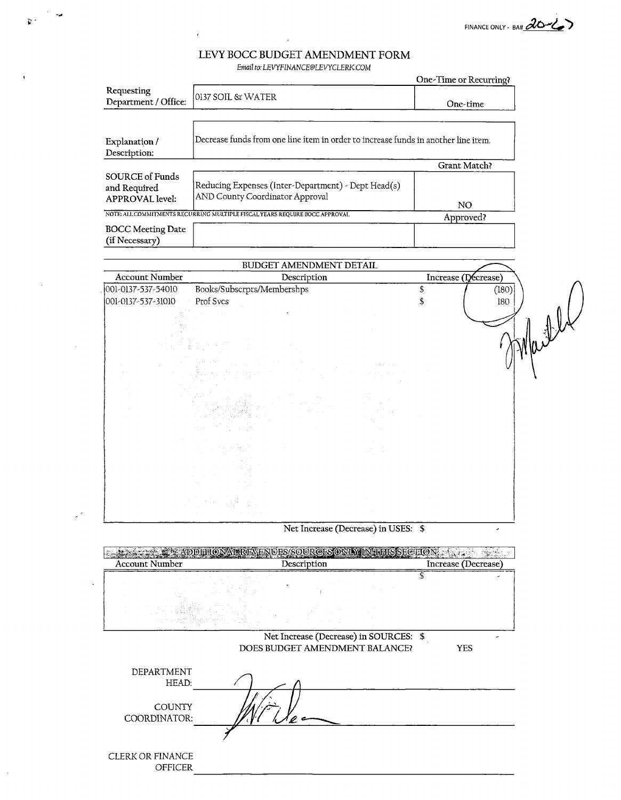FINANCE ONLY - BA# 20

### LEVY BOCC BUDGET AMENDMENT FORM Email to: LEVYFINANCE@LEVYCLERK.COM

 $\mathfrak{F}^{\vee}$ 

 $\mathbb{R}^2$ 

 $\ddot{\phantom{a}}$ 

|                                                           |                                                                                        | One-Time or Recurring? |
|-----------------------------------------------------------|----------------------------------------------------------------------------------------|------------------------|
| Requesting<br>Department / Office:                        | 0137 SOÏL & WATER                                                                      | One-time               |
| Explanation/<br>Description:                              | Decrease funds from one line item in order to increase funds in another line item.     |                        |
|                                                           |                                                                                        |                        |
|                                                           |                                                                                        | <b>Grant Match?</b>    |
| SOURCE of Funds<br>and Required<br><b>APPROVAL</b> level: | Reducing Expenses (Inter-Department) - Dept Head(s)<br>AND County Coordinator Approval |                        |
|                                                           |                                                                                        | NO.                    |
|                                                           | NOTE: ALL COMMITMENTS RECURRING MULTIPLE FISCAL YEARS REQUIRE BOCC APPROVAL            | Approved?              |
| <b>BOCC Meeting Date</b><br>(if Necessary)                |                                                                                        |                        |

|                       | BUDGET AMENDMENT DETAIL                                     |                                           |                     |
|-----------------------|-------------------------------------------------------------|-------------------------------------------|---------------------|
| <b>Account Number</b> | Description                                                 |                                           | Increase (Decrease) |
| 001-0137-537-54010    | Books/Subscrpts/Membershps                                  |                                           | \$<br>(180)         |
| 001-0137-537-31010    | Prof Svcs                                                   |                                           | 180                 |
|                       | $\mathcal{A}(\mathcal{A})$ , and $\mathcal{A}(\mathcal{A})$ |                                           |                     |
|                       |                                                             |                                           |                     |
|                       |                                                             |                                           |                     |
|                       |                                                             |                                           |                     |
|                       |                                                             | in 1970.<br>Seri                          |                     |
|                       |                                                             |                                           |                     |
|                       | <b>Contract</b><br>in Fig.                                  |                                           |                     |
|                       |                                                             |                                           |                     |
|                       |                                                             |                                           |                     |
|                       |                                                             |                                           |                     |
|                       |                                                             | $\mathcal{A}_{\mathcal{A}}^{\mathcal{A}}$ |                     |
|                       |                                                             |                                           |                     |
|                       |                                                             |                                           |                     |
|                       |                                                             |                                           |                     |
|                       |                                                             |                                           |                     |
|                       |                                                             |                                           |                     |

Net Increase (Decrease) in USES; \$

| <b>Account Number</b> | Description                    |                                        | Increase (Decrease) |  |
|-----------------------|--------------------------------|----------------------------------------|---------------------|--|
|                       |                                |                                        |                     |  |
|                       |                                |                                        |                     |  |
|                       | DOES BUDGET AMENDMENT BALANCE? | Net Increase (Decrease) in SOURCES: \$ | YES                 |  |

| HEAD:                              |  |
|------------------------------------|--|
| <b>COUNTY</b><br>COORDINATOR:      |  |
|                                    |  |
| CLERK OR FINANCE<br><b>OFFICER</b> |  |